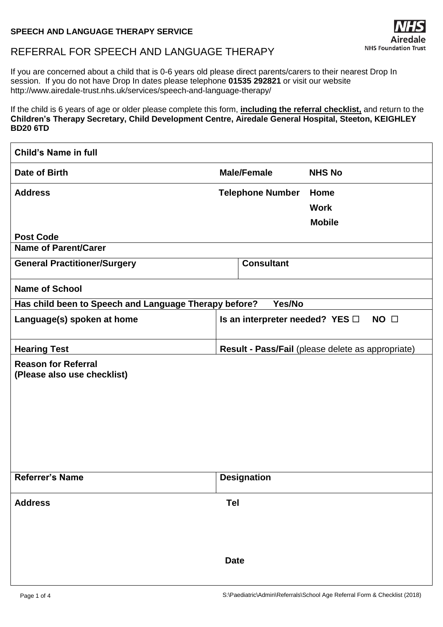## **SPEECH AND LANGUAGE THERAPY SERVICE**

# REFERRAL FOR SPEECH AND LANGUAGE THERAPY

If you are concerned about a child that is 0-6 years old please direct parents/carers to their nearest Drop In session. If you do not have Drop In dates please telephone **01535 292821** or visit our website http://www.airedale-trust.nhs.uk/services/speech-and-language-therapy/

If the child is 6 years of age or older please complete this form, **including the referral checklist,** and return to the **Children's Therapy Secretary, Child Development Centre, Airedale General Hospital, Steeton, KEIGHLEY BD20 6TD**

| <b>Child's Name in full</b>                               |                                 |                                                   |
|-----------------------------------------------------------|---------------------------------|---------------------------------------------------|
| Date of Birth                                             | <b>Male/Female</b>              | <b>NHS No</b>                                     |
| <b>Address</b>                                            | <b>Telephone Number</b>         | Home                                              |
|                                                           |                                 | <b>Work</b>                                       |
|                                                           |                                 | <b>Mobile</b>                                     |
| <b>Post Code</b>                                          |                                 |                                                   |
| <b>Name of Parent/Carer</b>                               |                                 |                                                   |
| <b>General Practitioner/Surgery</b>                       | <b>Consultant</b>               |                                                   |
| <b>Name of School</b>                                     |                                 |                                                   |
| Has child been to Speech and Language Therapy before?     | Yes/No                          |                                                   |
| Language(s) spoken at home                                | Is an interpreter needed? YES □ | NO <sub>1</sub>                                   |
| <b>Hearing Test</b>                                       |                                 | Result - Pass/Fail (please delete as appropriate) |
| <b>Reason for Referral</b><br>(Please also use checklist) |                                 |                                                   |
|                                                           |                                 |                                                   |
| Referrer's Name                                           | <b>Designation</b>              |                                                   |
| <b>Address</b>                                            | Tel                             |                                                   |
|                                                           | <b>Date</b>                     |                                                   |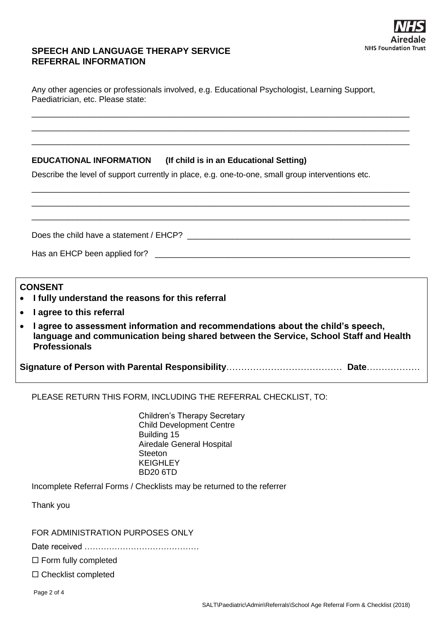

## **SPEECH AND LANGUAGE THERAPY SERVICE REFERRAL INFORMATION**

Any other agencies or professionals involved, e.g. Educational Psychologist, Learning Support, Paediatrician, etc. Please state:

\_\_\_\_\_\_\_\_\_\_\_\_\_\_\_\_\_\_\_\_\_\_\_\_\_\_\_\_\_\_\_\_\_\_\_\_\_\_\_\_\_\_\_\_\_\_\_\_\_\_\_\_\_\_\_\_\_\_\_\_\_\_\_\_\_\_\_\_\_\_\_\_\_\_\_\_\_\_\_\_\_\_\_ \_\_\_\_\_\_\_\_\_\_\_\_\_\_\_\_\_\_\_\_\_\_\_\_\_\_\_\_\_\_\_\_\_\_\_\_\_\_\_\_\_\_\_\_\_\_\_\_\_\_\_\_\_\_\_\_\_\_\_\_\_\_\_\_\_\_\_\_\_\_\_\_\_\_\_\_\_\_\_\_\_\_\_ \_\_\_\_\_\_\_\_\_\_\_\_\_\_\_\_\_\_\_\_\_\_\_\_\_\_\_\_\_\_\_\_\_\_\_\_\_\_\_\_\_\_\_\_\_\_\_\_\_\_\_\_\_\_\_\_\_\_\_\_\_\_\_\_\_\_\_\_\_\_\_\_\_\_\_\_\_\_\_\_\_\_\_

\_\_\_\_\_\_\_\_\_\_\_\_\_\_\_\_\_\_\_\_\_\_\_\_\_\_\_\_\_\_\_\_\_\_\_\_\_\_\_\_\_\_\_\_\_\_\_\_\_\_\_\_\_\_\_\_\_\_\_\_\_\_\_\_\_\_\_\_\_\_\_\_\_\_\_\_\_\_\_\_\_\_\_

## **EDUCATIONAL INFORMATION (If child is in an Educational Setting)**

Describe the level of support currently in place, e.g. one-to-one, small group interventions etc.

| <b>CONSENT</b><br>• I fully understand the reasons for this referral<br>• lagree to this referral |  |  |
|---------------------------------------------------------------------------------------------------|--|--|

 **I agree to assessment information and recommendations about the child's speech, language and communication being shared between the Service, School Staff and Health Professionals**

**Signature of Person with Parental Responsibility**………………………………… **Date**………………

PLEASE RETURN THIS FORM, INCLUDING THE REFERRAL CHECKLIST, TO:

Children's Therapy Secretary Child Development Centre Building 15 Airedale General Hospital **Steeton KEIGHLEY** BD20 6TD

Incomplete Referral Forms / Checklists may be returned to the referrer

Thank you

FOR ADMINISTRATION PURPOSES ONLY

Date received ……………………………………

 $\Box$  Form fully completed

□ Checklist completed

Page 2 of 4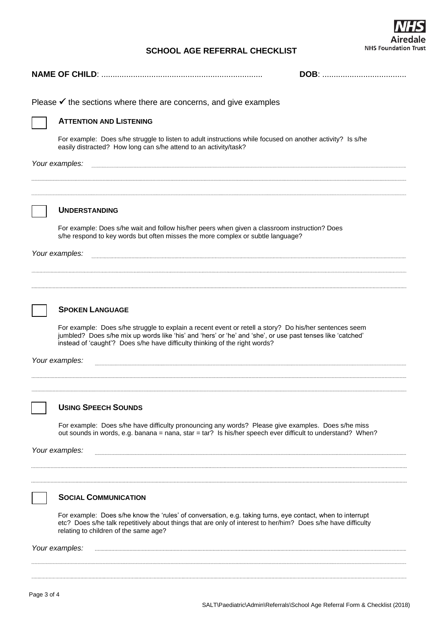## **SCHOOL AGE REFERRAL CHECKLIST**



| Please $\checkmark$ the sections where there are concerns, and give examples                                                                                                                                                                                                                        |  |
|-----------------------------------------------------------------------------------------------------------------------------------------------------------------------------------------------------------------------------------------------------------------------------------------------------|--|
| <b>ATTENTION AND LISTENING</b>                                                                                                                                                                                                                                                                      |  |
| For example: Does s/he struggle to listen to adult instructions while focused on another activity? Is s/he<br>easily distracted? How long can s/he attend to an activity/task?                                                                                                                      |  |
| Your examples:                                                                                                                                                                                                                                                                                      |  |
| <b>UNDERSTANDING</b>                                                                                                                                                                                                                                                                                |  |
| For example: Does s/he wait and follow his/her peers when given a classroom instruction? Does<br>s/he respond to key words but often misses the more complex or subtle language?                                                                                                                    |  |
| Your examples:                                                                                                                                                                                                                                                                                      |  |
|                                                                                                                                                                                                                                                                                                     |  |
|                                                                                                                                                                                                                                                                                                     |  |
|                                                                                                                                                                                                                                                                                                     |  |
| <b>SPOKEN LANGUAGE</b>                                                                                                                                                                                                                                                                              |  |
| For example: Does s/he struggle to explain a recent event or retell a story? Do his/her sentences seem<br>jumbled? Does s/he mix up words like 'his' and 'hers' or 'he' and 'she', or use past tenses like 'catched'<br>instead of 'caught'? Does s/he have difficulty thinking of the right words? |  |
| Your examples:                                                                                                                                                                                                                                                                                      |  |
|                                                                                                                                                                                                                                                                                                     |  |
|                                                                                                                                                                                                                                                                                                     |  |
| <b>USING SPEECH SOUNDS</b>                                                                                                                                                                                                                                                                          |  |
| For example: Does s/he have difficulty pronouncing any words? Please give examples. Does s/he miss<br>out sounds in words, e.g. banana = nana, star = tar? Is his/her speech ever difficult to understand? When?                                                                                    |  |
| Your examples:                                                                                                                                                                                                                                                                                      |  |
|                                                                                                                                                                                                                                                                                                     |  |
|                                                                                                                                                                                                                                                                                                     |  |
| <b>SOCIAL COMMUNICATION</b>                                                                                                                                                                                                                                                                         |  |
| For example: Does s/he know the 'rules' of conversation, e.g. taking turns, eye contact, when to interrupt<br>etc? Does s/he talk repetitively about things that are only of interest to her/him? Does s/he have difficulty<br>relating to children of the same age?                                |  |
| Your examples:                                                                                                                                                                                                                                                                                      |  |
|                                                                                                                                                                                                                                                                                                     |  |